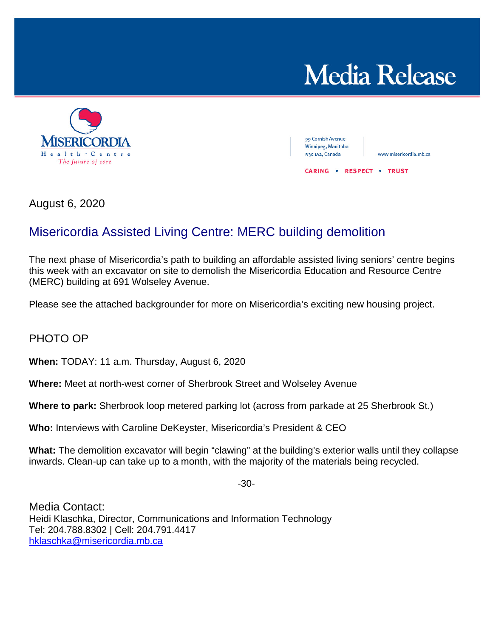



99 Cornish Avenue Winnipeg, Manitoba R3C 1A2, Canada

www.misericordia.mb.ca

**CARING . RESPECT . TRUST** 

August 6, 2020

## Misericordia Assisted Living Centre: MERC building demolition

The next phase of Misericordia's path to building an affordable assisted living seniors' centre begins this week with an excavator on site to demolish the Misericordia Education and Resource Centre (MERC) building at 691 Wolseley Avenue.

Please see the attached backgrounder for more on Misericordia's exciting new housing project.

## PHOTO OP

**When:** TODAY: 11 a.m. Thursday, August 6, 2020

**Where:** Meet at north-west corner of Sherbrook Street and Wolseley Avenue

**Where to park:** Sherbrook loop metered parking lot (across from parkade at 25 Sherbrook St.)

**Who:** Interviews with Caroline DeKeyster, Misericordia's President & CEO

**What:** The demolition excavator will begin "clawing" at the building's exterior walls until they collapse inwards. Clean-up can take up to a month, with the majority of the materials being recycled.

-30-

Media Contact: Heidi Klaschka, Director, Communications and Information Technology Tel: 204.788.8302 | Cell: 204.791.4417 [hklaschka@misericordia.mb.ca](mailto:hklaschka@misericordia.mb.ca)